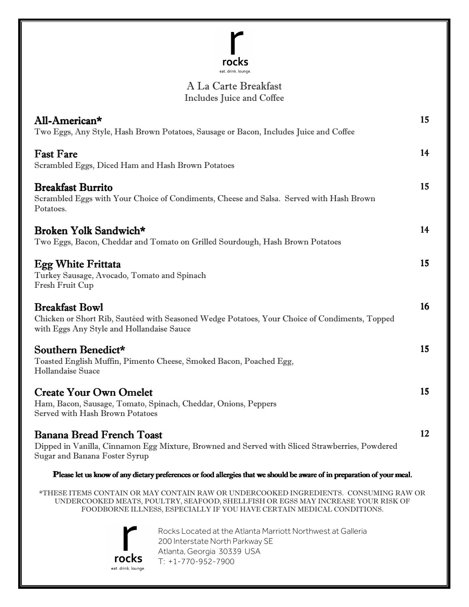## $\mathsf{r}$  $rocks$ <br>eat. drink. lounge.

## $\overline{\phantom{0}}$ A La Carte Breakfast Includes Juice and Coffee

| All-American*                                                                               | Two Eggs, Any Style, Hash Brown Potatoes, Sausage or Bacon, Includes Juice and Coffee                                                                                                                                                             | 15 |
|---------------------------------------------------------------------------------------------|---------------------------------------------------------------------------------------------------------------------------------------------------------------------------------------------------------------------------------------------------|----|
| <b>Fast Fare</b><br>Scrambled Eggs, Diced Ham and Hash Brown Potatoes                       |                                                                                                                                                                                                                                                   | 14 |
| <b>Breakfast Burrito</b><br>Potatoes.                                                       | Scrambled Eggs with Your Choice of Condiments, Cheese and Salsa. Served with Hash Brown                                                                                                                                                           | 15 |
| Broken Yolk Sandwich*                                                                       | Two Eggs, Bacon, Cheddar and Tomato on Grilled Sourdough, Hash Brown Potatoes                                                                                                                                                                     | 14 |
| <b>Egg White Frittata</b><br>Turkey Sausage, Avocado, Tomato and Spinach<br>Fresh Fruit Cup |                                                                                                                                                                                                                                                   | 15 |
| <b>Breakfast Bowl</b><br>with Eggs Any Style and Hollandaise Sauce                          | Chicken or Short Rib, Sautéed with Seasoned Wedge Potatoes, Your Choice of Condiments, Topped                                                                                                                                                     | 16 |
| Southern Benedict*<br>Hollandaise Suace                                                     | Toasted English Muffin, Pimento Cheese, Smoked Bacon, Poached Egg,                                                                                                                                                                                | 15 |
| <b>Create Your Own Omelet</b><br>Served with Hash Brown Potatoes                            | Ham, Bacon, Sausage, Tomato, Spinach, Cheddar, Onions, Peppers                                                                                                                                                                                    | 15 |
| <b>Banana Bread French Toast</b><br>Sugar and Banana Foster Syrup                           | Dipped in Vanilla, Cinnamon Egg Mixture, Browned and Served with Sliced Strawberries, Powdered                                                                                                                                                    | 12 |
|                                                                                             | Please let us know of any dietary preferences or food allergies that we should be aware of in preparation of your meal.                                                                                                                           |    |
|                                                                                             | *THESE ITEMS CONTAIN OR MAY CONTAIN RAW OR UNDERCOOKED INGREDIENTS. CONSUMING RAW OR<br>UNDERCOOKED MEATS, POULTRY, SEAFOOD, SHELLFISH OR EGSS MAY INCREASE YOUR RISK OF<br>FOODBORNE ILLNESS, ESPECIALLY IF YOU HAVE CERTAIN MEDICAL CONDITIONS. |    |
|                                                                                             | Rocks Located at the Atlanta Marriott Northwest at Galleria<br>200 Interstate North Parkway SE<br>Atlanta, Georgia 30339 USA                                                                                                                      |    |

**TOCKS** eat. drink. lounge. T: +1-770-952-7900